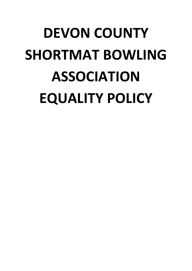# **DEVON COUNTY SHORTMAT BOWLING ASSOCIATION EQUALITY POLICY**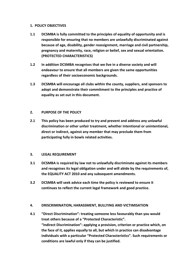## **1. POLICY OBJECTIVES**

- **1.1 DCSMBA is fully committed to the principles of equality of opportunity and is responsible for ensuring that no members are unlawfully discriminated against because of age, disability, gender reassignment, marriage and civil partnership, pregnancy and maternity, race, religion or belief, sex and sexual orientation. (PROTECTED CHARACTERISTICS)**
- **1.2 In addition DCSMBA recognises that we live in a diverse society and will endeavour to ensure that all members are given the same opportunities regardless of their socioeconomic backgrounds.**
- **1.3 DCSMBA will encourage all clubs within the county, suppliers, and sponsors to adopt and demonstrate their commitment to the principles and practice of equality as set out in this document.**

# **2. PURPOSE OF THE POLICY**

**2.1 This policy has been produced to try and prevent and address any unlawful discrimination or other unfair treatment, whether intentional or unintentional, direct or indirect, against any member that may preclude them from participating fully in bowls related activities.**

# **3. LEGAL REQUIREMENT**

- **3.1 DCSMBA is required by law not to unlawfully discriminate against its members and recognises its legal obligation under and will abide by the requirements of, the EQUALITY ACT 2010 and any subsequent amendments.**
- **3.2 DCSMBA will seek advice each time the policy is reviewed to ensure it continues to reflect the current legal framework and good practice.**

# **4. DRISCRIMINATION, HARASSMENT, BULLYING AND VICTIMISATION**

**4.1 "Direct Discrimination": treating someone less favourably than you would treat others because of a "Protected Characteristic". "Indirect Discrimination": applying a provision, criterion or practice which, on the face of it, applies equally to all, but which in practice can disadvantage individuals with a particular "Protected Characteristics". Such requirements or conditions are lawful only if they can be justified.**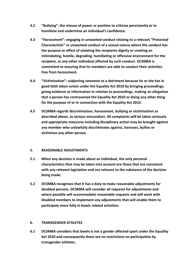- **4.2 "Bullying": the misuse of power or position to criticise persistently or to humiliate and undermine an individual's confidence.**
- **4.3 "Harassment": engaging in unwanted conduct relating to a relevant "Protected Characteristic" or unwanted conduct of a sexual nature where the conduct has the purpose or effect of violating the recipients dignity or creating an intimidating, hostile, degrading, humiliating or offensive environment for the recipient, or any other individual affected by such conduct. DCSMBA is committed to ensuring that its members are able to conduct their activities free from harassment.**
- **4.4 "Victimisation": subjecting someone to a detriment because he or she has in good faith taken action under the Equality Act 2010 by bringing proceedings, giving evidence or information in relation to proceedings, making an allegation that a person has contravened the Equality Act 2010 or doing any other thing for the purpose of or in connection with the Equality Act 2010.**
- **4.5 DCSMBA regards discrimination, harassment, bullying or victimisation as described above, as serious misconduct. All complaints will be taken seriously and appropriate measures including disciplinary action may be brought against any member who unlawfully discriminates against, harasses, bullies or victimises any other person.**

# **5. REASONABLE ADJUSTMENTS**

- **5.1 When any decision is made about an individual, the only personal characteristics that may be taken into account are those that are consistent with any relevant legislation and are relevant to the substance of the decision being made.**
- **5.2 DCSMBA recognises that it has a duty to make reasonable adjustments for disabled persons. DCSMBA will consider all requests for adjustments and where possible will accommodate reasonable requests and will work with disabled members to implement any adjustments that will enable them to participate more fully in bowls related activities.**

# **6. TRANSGENDER ATHLETES**

**6.1 DCSMBA considers that bowls is not a gender affected sport under the Equality Act 2010 and consequently there are no restrictions on participation by transgender athletes.**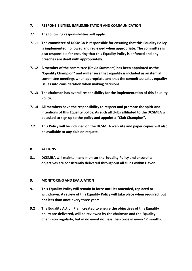## **7. RESPONSIBILITIES, IMPLEMENTATION AND COMMUNICATION**

- **7.1 The following responsibilities will apply:**
- **7.1.1 The committee of DCSMBA is responsible for ensuring that this Equality Policy is implemented, followed and reviewed when appropriate. The committee is also responsible for ensuring that this Equality Policy is enforced and any breaches are dealt with appropriately.**
- **7.1.2 A member of the committee (David Summers) has been appointed as the "Equality Champion" and will ensure that equality is included as an item at committee meetings when appropriate and that the committee takes equality issues into consideration when making decisions.**
- **7.1.3 The chairman has overall responsibility for the implementation of this Equality Policy.**
- **7.1.4 All members have the responsibility to respect and promote the spirit and intentions of this Equality policy. As such all clubs affiliated to the DCSMBA will be asked to sign up to the policy and appoint a "Club Champion".**
- **7.2 This Policy will be included on the DCSMBA web site and paper copies will also be available to any club on request.**

### **8. ACTIONS**

**8.1 DCSMBA will maintain and monitor the Equality Policy and ensure its objectives are consistently delivered throughout all clubs within Devon.**

### **9. MONITORING AND EVALUATION**

- **9.1 This Equality Policy will remain in force until its amended, replaced or withdrawn. A review of this Equality Policy will take place when required, but not less than once every three years.**
- **9.2 The Equality Action Plan, created to ensure the objectives of this Equality policy are delivered, will be reviewed by the chairman and the Equality Champion regularly, but in no event not less than once in every 12 months.**